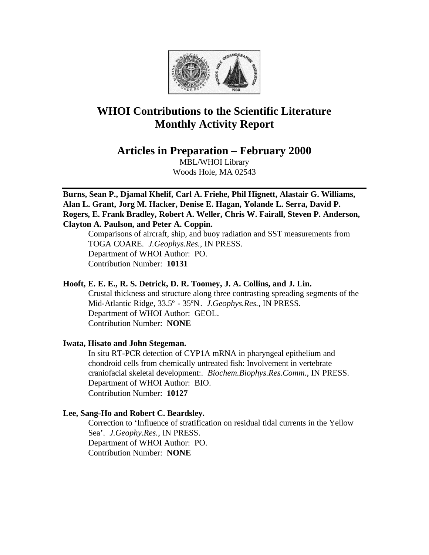

# **WHOI Contributions to the Scientific Literature Monthly Activity Report**

**Articles in Preparation – February 2000**

MBL/WHOI Library Woods Hole, MA 02543

**Burns, Sean P., Djamal Khelif, Carl A. Friehe, Phil Hignett, Alastair G. Williams, Alan L. Grant, Jorg M. Hacker, Denise E. Hagan, Yolande L. Serra, David P. Rogers, E. Frank Bradley, Robert A. Weller, Chris W. Fairall, Steven P. Anderson, Clayton A. Paulson, and Peter A. Coppin.**

Comparisons of aircraft, ship, and buoy radiation and SST measurements from TOGA COARE. *J.Geophys.Res.*, IN PRESS. Department of WHOI Author: PO. Contribution Number: **10131**

## **Hooft, E. E. E., R. S. Detrick, D. R. Toomey, J. A. Collins, and J. Lin.**

Crustal thickness and structure along three contrasting spreading segments of the Mid-Atlantic Ridge, 33.5º - 35ºN. *J.Geophys.Res.*, IN PRESS. Department of WHOI Author: GEOL. Contribution Number: **NONE**

## **Iwata, Hisato and John Stegeman.**

In situ RT-PCR detection of CYP1A mRNA in pharyngeal epithelium and chondroid cells from chemically untreated fish: Involvement in vertebrate craniofacial skeletal development:. *Biochem.Biophys.Res.Comm.*, IN PRESS. Department of WHOI Author: BIO. Contribution Number: **10127**

#### **Lee, Sang-Ho and Robert C. Beardsley.**

Correction to 'Influence of stratification on residual tidal currents in the Yellow Sea'. *J.Geophy.Res.*, IN PRESS. Department of WHOI Author: PO. Contribution Number: **NONE**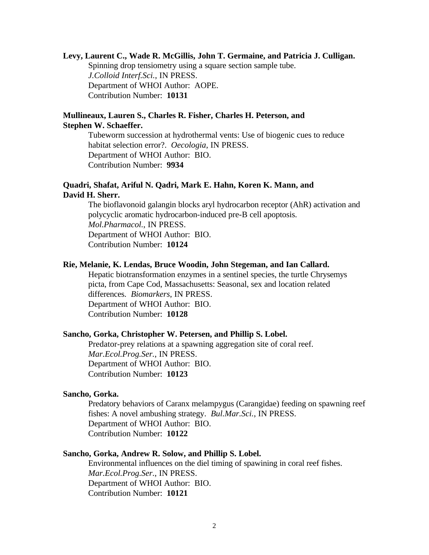#### **Levy, Laurent C., Wade R. McGillis, John T. Germaine, and Patricia J. Culligan.**

Spinning drop tensiometry using a square section sample tube. *J.Colloid Interf.Sci.*, IN PRESS. Department of WHOI Author: AOPE. Contribution Number: **10131**

## **Mullineaux, Lauren S., Charles R. Fisher, Charles H. Peterson, and Stephen W. Schaeffer.**

Tubeworm succession at hydrothermal vents: Use of biogenic cues to reduce habitat selection error?. *Oecologia*, IN PRESS. Department of WHOI Author: BIO. Contribution Number: **9934**

## **Quadri, Shafat, Ariful N. Qadri, Mark E. Hahn, Koren K. Mann, and David H. Sherr.**

The bioflavonoid galangin blocks aryl hydrocarbon receptor (AhR) activation and polycyclic aromatic hydrocarbon-induced pre-B cell apoptosis. *Mol.Pharmacol.*, IN PRESS. Department of WHOI Author: BIO. Contribution Number: **10124**

#### **Rie, Melanie, K. Lendas, Bruce Woodin, John Stegeman, and Ian Callard.**

Hepatic biotransformation enzymes in a sentinel species, the turtle Chrysemys picta, from Cape Cod, Massachusetts: Seasonal, sex and location related differences. *Biomarkers*, IN PRESS. Department of WHOI Author: BIO. Contribution Number: **10128**

#### **Sancho, Gorka, Christopher W. Petersen, and Phillip S. Lobel.**

Predator-prey relations at a spawning aggregation site of coral reef. *Mar.Ecol.Prog.Ser.*, IN PRESS. Department of WHOI Author: BIO. Contribution Number: **10123**

### **Sancho, Gorka.**

Predatory behaviors of Caranx melampygus (Carangidae) feeding on spawning reef fishes: A novel ambushing strategy. *Bul.Mar.Sci.*, IN PRESS. Department of WHOI Author: BIO. Contribution Number: **10122**

#### **Sancho, Gorka, Andrew R. Solow, and Phillip S. Lobel.**

Environmental influences on the diel timing of spawining in coral reef fishes. *Mar.Ecol.Prog.Ser.*, IN PRESS. Department of WHOI Author: BIO. Contribution Number: **10121**